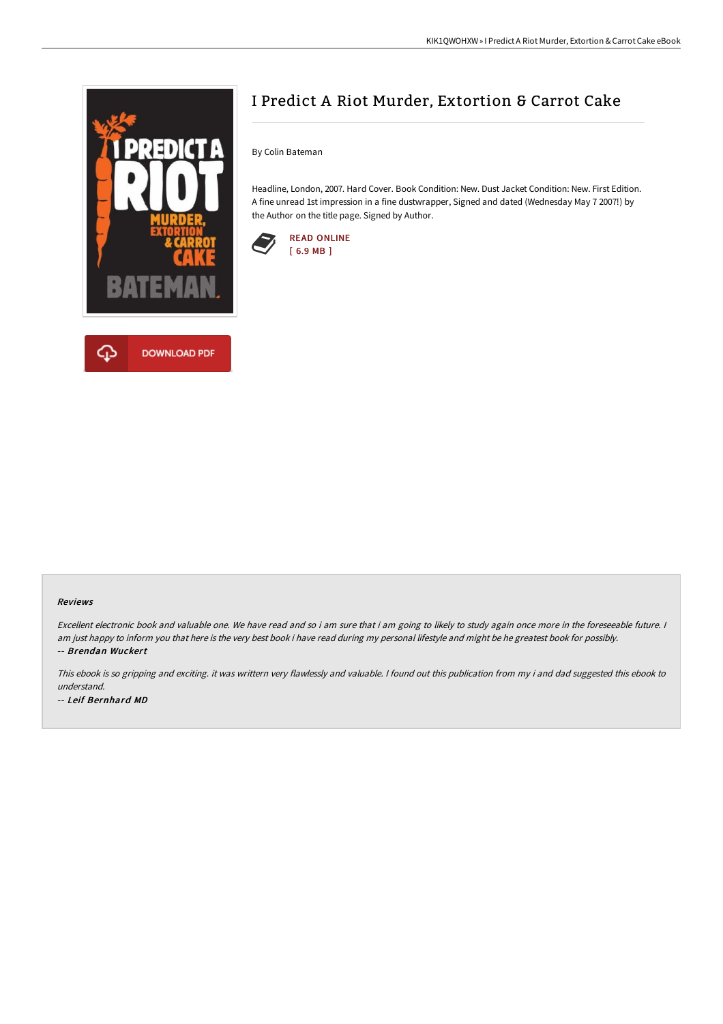



# I Predict A Riot Murder, Extortion & Carrot Cake

By Colin Bateman

Headline, London, 2007. Hard Cover. Book Condition: New. Dust Jacket Condition: New. First Edition. A fine unread 1st impression in a fine dustwrapper, Signed and dated (Wednesday May 7 2007!) by the Author on the title page. Signed by Author.



#### Reviews

Excellent electronic book and valuable one. We have read and so i am sure that i am going to likely to study again once more in the foreseeable future. <sup>I</sup> am just happy to inform you that here is the very best book i have read during my personal lifestyle and might be he greatest book for possibly. -- Brendan Wuckert

This ebook is so gripping and exciting. it was writtern very flawlessly and valuable. <sup>I</sup> found out this publication from my i and dad suggested this ebook to understand. -- Leif Bernhard MD